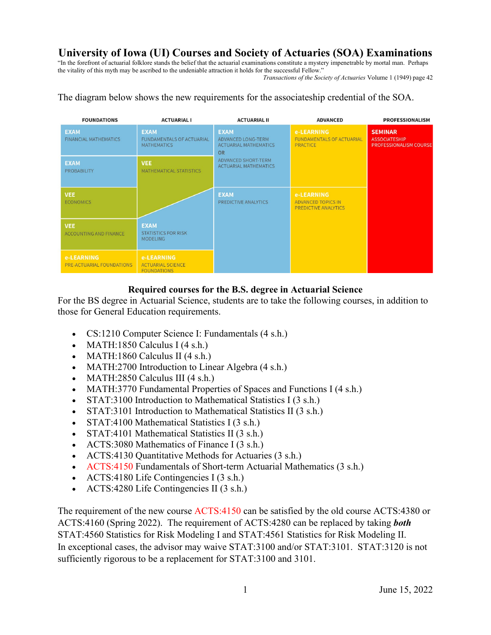# **University of Iowa (UI) Courses and Society of Actuaries (SOA) Examinations**

"In the forefront of actuarial folklore stands the belief that the actuarial examinations constitute a mystery impenetrable by mortal man. Perhaps the vitality of this myth may be ascribed to the undeniable attraction it holds for the successful Fellow."

*Transactions of the Society of Actuaries* Volume 1 (1949) page 42

The diagram below shows the new requirements for the associateship credential of the SOA.

| <b>FOUNDATIONS</b>                             | <b>ACTUARIAL I</b>                                                    | <b>ACTUARIAL II</b>                                                                   | <b>ADVANCED</b>                                                        | <b>PROFESSIONALISM</b>                                                  |
|------------------------------------------------|-----------------------------------------------------------------------|---------------------------------------------------------------------------------------|------------------------------------------------------------------------|-------------------------------------------------------------------------|
| <b>EXAM</b><br><b>FINANCIAL MATHEMATICS</b>    | <b>EXAM</b><br><b>FUNDAMENTALS OF ACTUARIAL</b><br><b>MATHEMATICS</b> | <b>EXAM</b><br><b>ADVANCED LONG-TERM</b><br><b>ACTUARIAL MATHEMATICS</b><br><b>OR</b> | e-LEARNING<br><b>FUNDAMENTALS OF ACTUARIAL</b><br>PRACTICE             | <b>SEMINAR</b><br><b>ASSOCIATESHIP</b><br><b>PROFESSIONALISM COURSE</b> |
| <b>EXAM</b><br><b>PROBABILITY</b>              | <b>VEE</b><br>MATHEMATICAL STATISTICS                                 | ADVANCED SHORT-TERM<br><b>ACTUARIAL MATHEMATICS</b>                                   |                                                                        |                                                                         |
| <b>VEE</b><br><b>ECONOMICS</b>                 |                                                                       | <b>EXAM</b><br>PREDICTIVE ANALYTICS                                                   | e-LEARNING<br><b>ADVANCED TOPICS IN</b><br><b>PREDICTIVE ANALYTICS</b> |                                                                         |
| <b>VEE</b><br><b>ACCOUNTING AND FINANCE</b>    | <b>EXAM</b><br><b>STATISTICS FOR RISK</b><br><b>MODELING</b>          |                                                                                       |                                                                        |                                                                         |
| e-LEARNING<br><b>PRE-ACTUARIAL FOUNDATIONS</b> | e-LEARNING<br><b>ACTUARIAL SCIENCE</b><br><b>FOUNDATIONS</b>          |                                                                                       |                                                                        |                                                                         |

## **Required courses for the B.S. degree in Actuarial Science**

For the BS degree in Actuarial Science, students are to take the following courses, in addition to those for General Education requirements.

- CS:1210 Computer Science I: Fundamentals (4 s.h.)
- MATH:1850 Calculus I  $(4 \text{ s.h.})$
- MATH:1860 Calculus II (4 s.h.)
- MATH:2700 Introduction to Linear Algebra (4 s.h.)
- MATH:2850 Calculus III (4 s.h.)
- MATH:3770 Fundamental Properties of Spaces and Functions I (4 s.h.)
- [STAT:3100](http://www.stat.uiowa.edu/undergraduate-programs/course-descriptions-syllabi#130) Introduction to Mathematical Statistics I (3 s.h.)
- [STAT:3101](http://www.stat.uiowa.edu/undergraduate-programs/course-descriptions-syllabi#131) Introduction to Mathematical Statistics II (3 s.h.)
- [STAT:4100](http://www.stat.uiowa.edu/undergraduate-programs/course-descriptions-syllabi#153) Mathematical Statistics I (3 s.h.)
- [STAT:4101](http://www.stat.uiowa.edu/undergraduate-programs/course-descriptions-syllabi#154) Mathematical Statistics II (3 s.h.)
- [ACTS:3080](http://www.stat.uiowa.edu/undergraduate-programs/course-descriptions-syllabi#180) Mathematics of Finance I (3 s.h.)
- [ACTS:4130](http://www.stat.uiowa.edu/undergraduate-programs/course-descriptions-syllabi#174) Quantitative Methods for Actuaries (3 s.h.)
- ACTS:4150 Fundamentals of Short-term Actuarial Mathematics (3 s.h.)
- [ACTS:4180](http://www.stat.uiowa.edu/undergraduate-programs/course-descriptions-syllabi#181) Life Contingencies I  $(3 \text{ s.h.})$
- [ACTS:4280](http://www.stat.uiowa.edu/undergraduate-programs/course-descriptions-syllabi#182) Life Contingencies II (3 s.h.)

The requirement of the new course ACTS:4150 can be satisfied by the old course ACTS:4380 or ACTS:4160 (Spring 2022). The requirement of ACTS:4280 can be replaced by taking *both*  STAT:4560 Statistics for Risk Modeling I and STAT:4561 Statistics for Risk Modeling II. In exceptional cases, the advisor may waive [STAT:3100](http://www.stat.uiowa.edu/undergraduate-programs/course-descriptions-syllabi#130) and/or STAT:31[01.](http://www.stat.uiowa.edu/undergraduate-programs/course-descriptions-syllabi#130) STAT:3120 is not sufficiently rigorous to be a replacement for STAT:3100 and 3101.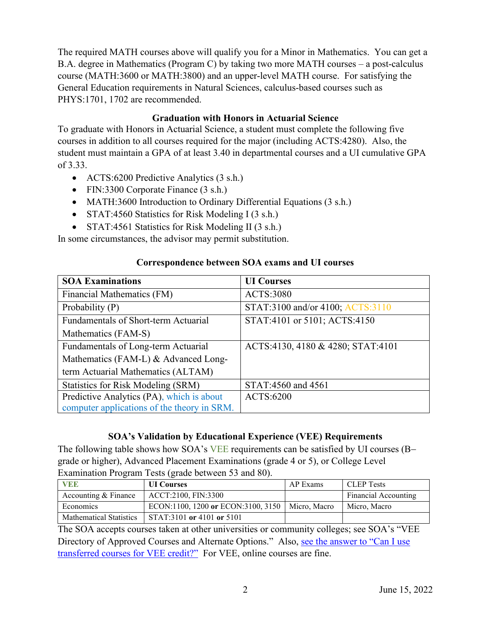The required MATH courses above will qualify you for a Minor in Mathematics. You can get a B.A. degree in Mathematics (Program C) by taking two more MATH courses – a post-calculus course [\(MATH:3600](https://isis2.uiowa.edu/isis2/courses/details.page?id=747135&ci=149680) or MATH:3800) and an upper-level MATH course. For satisfying the General Education requirements in Natural Sciences, calculus-based courses such as PHYS:1701, 1702 are recommended.

## **Graduation with Honors in Actuarial Science**

To graduate with Honors in Actuarial Science, a student must complete the following five courses in addition to all courses required for the major (including ACTS:4280). Also, the student must maintain a GPA of at least 3.40 in departmental courses and a UI cumulative GPA of 3.33.

- ACTS:6200 Predictive Analytics (3 s.h.)
- FIN:3300 Corporate Finance (3 s.h.)
- MATH:3600 Introduction to Ordinary Differential Equations (3 s.h.)
- STAT:4560 Statistics for Risk Modeling I (3 s.h.)
- STAT:4561 Statistics for Risk Modeling II (3 s.h.)

In some circumstances, the advisor may permit substitution.

## **Correspondence between SOA exams and UI courses**

| <b>SOA Examinations</b>                     | <b>UI</b> Courses                 |  |
|---------------------------------------------|-----------------------------------|--|
| Financial Mathematics (FM)                  | <b>ACTS:3080</b>                  |  |
| Probability (P)                             | STAT:3100 and/or 4100; ACTS:3110  |  |
| Fundamentals of Short-term Actuarial        | STAT:4101 or 5101; ACTS:4150      |  |
| Mathematics (FAM-S)                         |                                   |  |
| Fundamentals of Long-term Actuarial         | ACTS:4130, 4180 & 4280; STAT:4101 |  |
| Mathematics (FAM-L) & Advanced Long-        |                                   |  |
| term Actuarial Mathematics (ALTAM)          |                                   |  |
| Statistics for Risk Modeling (SRM)          | STAT:4560 and 4561                |  |
| Predictive Analytics (PA), which is about   | <b>ACTS:6200</b>                  |  |
| computer applications of the theory in SRM. |                                   |  |

## **SOA's Validation by Educational Experience (VEE) Requirements**

The following table shows how SOA's VEE requirements can be satisfied by UI courses (B− grade or higher), Advanced Placement Examinations (grade 4 or 5), or College Level Examination Program Tests (grade between 53 and 80).

| <b>VEE</b>                     | <b>UI</b> Courses                                 | AP Exams | <b>CLEP</b> Tests           |
|--------------------------------|---------------------------------------------------|----------|-----------------------------|
| Accounting & Finance           | ACCT:2100, FIN:3300                               |          | <b>Financial Accounting</b> |
| Economics                      | ECON:1100, 1200 or ECON:3100, 3150   Micro, Macro |          | Micro, Macro                |
| <b>Mathematical Statistics</b> | STAT:3101 or 4101 or 5101                         |          |                             |

The SOA accepts courses taken at other universities or community colleges; see SOA's "VEE Directory of Approved Courses and Alternate Options." Also, [see the answer to "Can I use](https://www.soa.org/Education/Exam-Req/Resources/edu-vee-approval-faq.aspx)  [transferred courses for VEE credit?"](https://www.soa.org/Education/Exam-Req/Resources/edu-vee-approval-faq.aspx) For VEE, online courses are fine.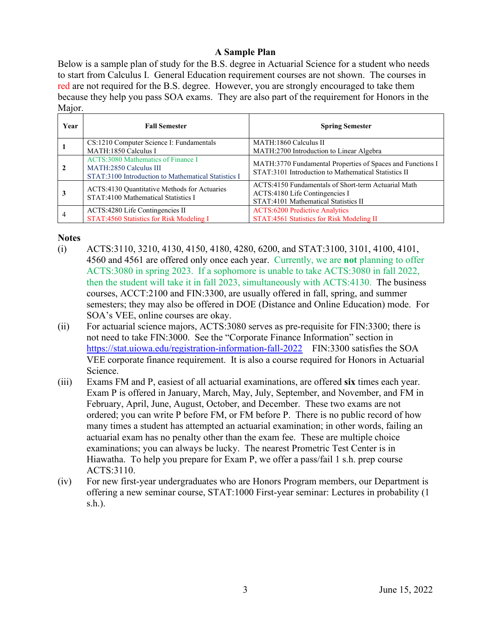## **A Sample Plan**

Below is a sample plan of study for the B.S. degree in Actuarial Science for a student who needs to start from Calculus I. General Education requirement courses are not shown. The courses in red are not required for the B.S. degree. However, you are strongly encouraged to take them because they help you pass SOA exams. They are also part of the requirement for Honors in the Major.

| Year | <b>Fall Semester</b>                                                                                                | <b>Spring Semester</b>                                                                                                        |
|------|---------------------------------------------------------------------------------------------------------------------|-------------------------------------------------------------------------------------------------------------------------------|
|      | CS:1210 Computer Science I: Fundamentals<br>MATH:1850 Calculus I                                                    | MATH:1860 Calculus II<br>MATH:2700 Introduction to Linear Algebra                                                             |
|      | ACTS:3080 Mathematics of Finance I<br>MATH:2850 Calculus III<br>STAT:3100 Introduction to Mathematical Statistics I | MATH:3770 Fundamental Properties of Spaces and Functions I<br>STAT:3101 Introduction to Mathematical Statistics II            |
|      | ACTS:4130 Quantitative Methods for Actuaries<br>STAT:4100 Mathematical Statistics I                                 | ACTS:4150 Fundamentals of Short-term Actuarial Math<br>ACTS:4180 Life Contingencies I<br>STAT:4101 Mathematical Statistics II |
|      | ACTS:4280 Life Contingencies II<br>STAT:4560 Statistics for Risk Modeling I                                         | <b>ACTS:6200 Predictive Analytics</b><br>STAT:4561 Statistics for Risk Modeling II                                            |

### **Notes**

- (i) ACTS:3110, 3210, 4130, 4150, 4180, 4280, 6200, and STAT:3100, 3101, 4100, 4101, 4560 and 4561 are offered only once each year. Currently, we are **not** planning to offer ACTS:3080 in spring 2023. If a sophomore is unable to take ACTS:3080 in fall 2022, then the student will take it in fall 2023, simultaneously with ACTS:4130. The business courses, ACCT:2100 and FIN:3300, are usually offered in fall, spring, and summer semesters; they may also be offered in DOE (Distance and Online Education) mode. For SOA's VEE, online courses are okay.
- (ii) For actuarial science majors, ACTS:3080 serves as pre-requisite for FIN:3300; there is not need to take FIN:3000. See the "Corporate Finance Information" section in <https://stat.uiowa.edu/registration-information-fall-2022>FIN:3300 satisfies the SOA VEE corporate finance requirement. It is also a course required for Honors in Actuarial Science.
- (iii) Exams FM and P, easiest of all actuarial examinations, are offered **six** times each year. Exam P is offered in January, March, May, July, September, and November, and FM in February, April, June, August, October, and December. These two exams are not ordered; you can write P before FM, or FM before P. There is no public record of how many times a student has attempted an actuarial examination; in other words, failing an actuarial exam has no penalty other than the exam fee. These are multiple choice examinations; you can always be lucky. The nearest Prometric Test Center is in Hiawatha. To help you prepare for Exam P, we offer a pass/fail 1 s.h. prep course ACTS:3110.
- (iv) For new first-year undergraduates who are Honors Program members, our Department is offering a new seminar course, STAT:1000 First-year seminar: Lectures in probability (1 s.h.).